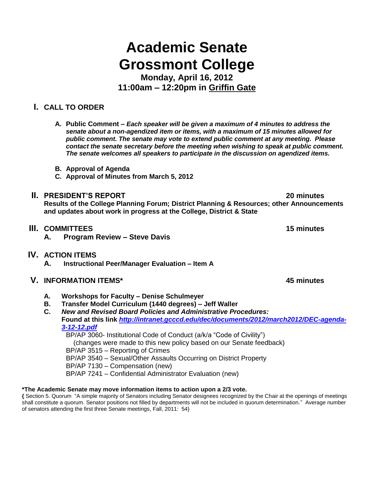# **Academic Senate Grossmont College**

**Monday, April 16, 2012 11:00am – 12:20pm in Griffin Gate**

## **I. CALL TO ORDER**

**A. Public Comment –** *Each speaker will be given a maximum of 4 minutes to address the senate about a non-agendized item or items, with a maximum of 15 minutes allowed for public comment. The senate may vote to extend public comment at any meeting. Please contact the senate secretary before the meeting when wishing to speak at public comment. The senate welcomes all speakers to participate in the discussion on agendized items.*

- **B. Approval of Agenda**
- **C. Approval of Minutes from March 5, 2012**

## **II. PRESIDENT'S REPORT 20 minutes**

**Results of the College Planning Forum; District Planning & Resources; other Announcements and updates about work in progress at the College, District & State**

- **III. COMMITTEES 15 minutes**
	- **A. Program Review – Steve Davis**
- **IV. ACTION ITEMS**
	- **A. Instructional Peer/Manager Evaluation – Item A**
- **V. INFORMATION ITEMS\* 45 minutes**
	- **A. Workshops for Faculty – Denise Schulmeyer**
	- **B. Transfer Model Curriculum (1440 degrees) – Jeff Waller**
	- **C.** *New and Revised Board Policies and Administrative Procedures:* **Found at this link** *[http://intranet.gcccd.edu/dec/documents/2012/march2012/DEC-agenda-](http://intranet.gcccd.edu/dec/documents/2012/march2012/DEC-agenda-3-12-12.pdf)[3-12-12.pdf](http://intranet.gcccd.edu/dec/documents/2012/march2012/DEC-agenda-3-12-12.pdf)*

BP/AP 3060- Institutional Code of Conduct (a/k/a "Code of Civility") (changes were made to this new policy based on our Senate feedback)

BP/AP 3515 – Reporting of Crimes

BP/AP 3540 – Sexual/Other Assaults Occurring on District Property

BP/AP 7130 – Compensation (new)

BP/AP 7241 – Confidential Administrator Evaluation (new)

#### **\*The Academic Senate may move information items to action upon a 2/3 vote.**

**{** Section 5. Quorum "A simple majority of Senators including Senator designees recognized by the Chair at the openings of meetings shall constitute a quorum. Senator positions not filled by departments will not be included in quorum determination." Average number of senators attending the first three Senate meetings, Fall, 2011: 54}